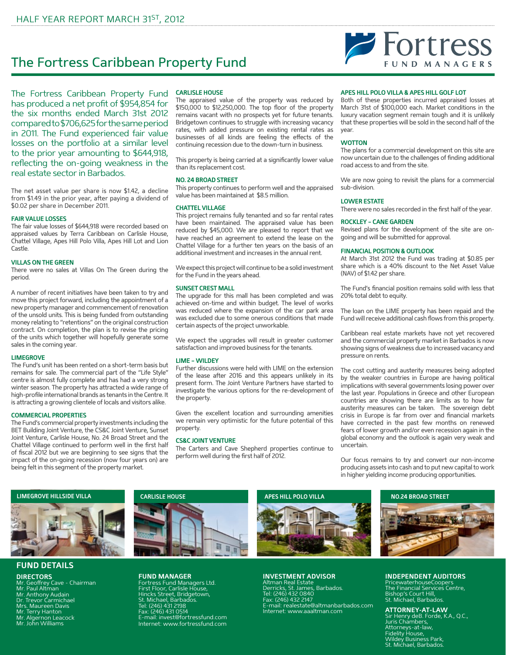# The Fortress Caribbean Property Fund

The Fortress Caribbean Property Fund has produced a net profit of \$954,854 for the six months ended March 31st 2012 compared to \$706,625 for the same period in 2011. The Fund experienced fair value losses on the portfolio at a similar level to the prior year amounting to \$644,918, reflecting the on-going weakness in the real estate sector in Barbados.

The net asset value per share is now \$1.42, a decline from \$1.49 in the prior year, after paying a dividend of \$0.02 per share in December 2011.

## **FAIR VALUE LOSSES**

The fair value losses of \$644,918 were recorded based on appraised values by Terra Caribbean on Carlisle House, Chattel Village, Apes Hill Polo Villa, Apes Hill Lot and Lion Castle.

#### **Villas On The Green**

There were no sales at Villas On The Green during the period.

A number of recent initiatives have been taken to try and move this project forward, including the appointment of a new property manager and commencement of renovation of the unsold units. This is being funded from outstanding money relating to "retentions" on the original construction contract. On completion, the plan is to revise the pricing of the units which together will hopefully generate some sales in the coming year.

#### **Limegrove**

The Fund's unit has been rented on a short-term basis but remains for sale. The commercial part of the "Life Style" centre is almost fully complete and has had a very strong winter season. The property has attracted a wide range of high-profile international brands as tenants in the Centre. It is attracting a growing clientele of locals and visitors alike.

### **Commercial Properties**

The Fund's commercial property investments including the BET Building Joint Venture, the CS&C Joint Venture, Sunset Joint Venture, Carlisle House, No. 24 Broad Street and the Chattel Village continued to perform well in the first half of fiscal 2012 but we are beginning to see signs that the impact of the on-going recession (now four years on) are being felt in this segment of the property market.

#### **Carlisle House**

The appraised value of the property was reduced by \$150,000 to \$12,250,000. The top floor of the property remains vacant with no prospects yet for future tenants. Bridgetown continues to struggle with increasing vacancy rates, with added pressure on existing rental rates as businesses of all kinds are feeling the effects of the continuing recession due to the down-turn in business.

This property is being carried at a significantly lower value than its replacement cost.

#### **No. 24 Broad Street**

This property continues to perform well and the appraised value has been maintained at \$8.5 million.

#### **CHATTEL VILLAGE**

This project remains fully tenanted and so far rental rates have been maintained. The appraised value has been reduced by \$45,000. We are pleased to report that we have reached an agreement to extend the lease on the Chattel Village for a further ten years on the basis of an additional investment and increases in the annual rent.

We expect this project will continue to be a solid investment for the Fund in the years ahead.

#### **Sunset Crest Mall**

The upgrade for this mall has been completed and was achieved on-time and within budget. The level of works was reduced where the expansion of the car park area was excluded due to some onerous conditions that made certain aspects of the project unworkable.

We expect the upgrades will result in greater customer satisfaction and improved business for the tenants.

#### **LIME – Wildey**

Further discussions were held with LIME on the extension of the lease after 2016 and this appears unlikely in its present form. The Joint Venture Partners have started to investigate the various options for the re-development of the property.

Given the excellent location and surrounding amenities we remain very optimistic for the future potential of this property.

#### **CS&C Joint Venture**

The Carters and Cave Shepherd properties continue to perform well during the first half of 2012.

## **Apes Hill Polo Villa & Apes Hill Golf Lot**

Both of these properties incurred appraised losses at March 31st of \$100,000 each. Market conditions in the luxury vacation segment remain tough and it is unlikely that these properties will be sold in the second half of the year.

## **WOTTON**

The plans for a commercial development on this site are now uncertain due to the challenges of finding additional road access to and from the site.

We are now going to revisit the plans for a commercial sub-division.

#### **Lower Estate**

There were no sales recorded in the first half of the year.

#### **Rockley – Cane Garden**

Revised plans for the development of the site are ongoing and will be submitted for approval.

#### **Financial Position & Outlook**

At March 31st 2012 the Fund was trading at \$0.85 per share which is a 40% discount to the Net Asset Value (NAV) of \$1.42 per share.

The Fund's financial position remains solid with less that 20% total debt to equity.

The loan on the LIME property has been repaid and the Fund will receive additional cash flows from this property.

Caribbean real estate markets have not yet recovered and the commercial property market in Barbados is now showing signs of weakness due to increased vacancy and pressure on rents.

The cost cutting and austerity measures being adopted by the weaker countries in Europe are having political implications with several governments losing power over the last year. Populations in Greece and other European countries are showing there are limits as to how far austerity measures can be taken. The sovereign debt crisis in Europe is far from over and financial markets have corrected in the past few months on renewed fears of lower growth and/or even recession again in the global economy and the outlook is again very weak and uncertain.

Our focus remains to try and convert our non-income producing assets into cash and to put new capital to work in higher yielding income producing opportunities.



# **FUND DETAILS**

**DIRECTORS**

Mr. Geoffrey Cave - Chairman Mr. Paul Altman Mr. Anthony Audain Dr. Trevor Carmichael Mrs. Maureen Davis Mr. Terry Hanton Mr. Algernon Leacock Mr. John Williams



**FUND MANAGER** Fortress Fund Managers Ltd. First Floor, Carlisle House, Hincks Street, Bridgetown, St. Michael, Barbados. Tel: (246) 431 2198 Fax: (246) 431 0514 E-mail: invest@fortressfund.com Internet: www.fortressfund.com

### **INVESTMENT ADVISOR**

Altman Real Estate Derricks, St. James, Barbados. Tel: (246) 432 0840 Fax: (246) 432 2147 E-mail: realestate@altmanbarbados.com Internet: www.aaaltman.com



# **INDEPENDENT AUDITORS**

PricewaterhouseCoopers The Financial Services Centre, Bishop's Court Hill, St. Michael, Barbados.

# **ATTORNEY-AT-LAW**

Sir Henry deB. Forde, K.A., Q.C., Juris Chambers, Attorneys-at-law, Fidelity House, Wildey Business Park, St. Michael, Barbados.